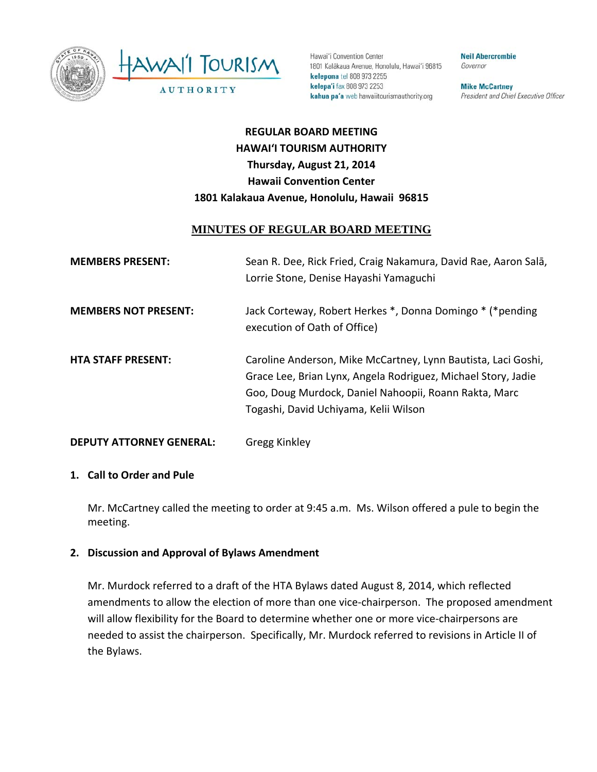



Hawai'i Convention Center 1801 Kalâkaua Avenue, Honolulu, Hawai'i 96815 kelepona tel 808 973 2255 kelepa'i fax 808 973 2253 kahua pa'a web hawaiitourismauthority.org

**Neil Abercrombie** Governor

**Mike McCartney** President and Chief Executive Officer

# **REGULAR BOARD MEETING HAWAI'I TOURISM AUTHORITY Thursday, August 21, 2014 Hawaii Convention Center 1801 Kalakaua Avenue, Honolulu, Hawaii 96815**

## **MINUTES OF REGULAR BOARD MEETING**

| <b>MEMBERS PRESENT:</b>         | Sean R. Dee, Rick Fried, Craig Nakamura, David Rae, Aaron Salā,<br>Lorrie Stone, Denise Hayashi Yamaguchi                                                                                                                        |
|---------------------------------|----------------------------------------------------------------------------------------------------------------------------------------------------------------------------------------------------------------------------------|
| <b>MEMBERS NOT PRESENT:</b>     | Jack Corteway, Robert Herkes *, Donna Domingo * (*pending<br>execution of Oath of Office)                                                                                                                                        |
| <b>HTA STAFF PRESENT:</b>       | Caroline Anderson, Mike McCartney, Lynn Bautista, Laci Goshi,<br>Grace Lee, Brian Lynx, Angela Rodriguez, Michael Story, Jadie<br>Goo, Doug Murdock, Daniel Nahoopii, Roann Rakta, Marc<br>Togashi, David Uchiyama, Kelii Wilson |
| <b>DEPUTY ATTORNEY GENERAL:</b> | Gregg Kinkley                                                                                                                                                                                                                    |

#### **1. Call to Order and Pule**

Mr. McCartney called the meeting to order at 9:45 a.m. Ms. Wilson offered a pule to begin the meeting.

### **2. Discussion and Approval of Bylaws Amendment**

Mr. Murdock referred to a draft of the HTA Bylaws dated August 8, 2014, which reflected amendments to allow the election of more than one vice‐chairperson. The proposed amendment will allow flexibility for the Board to determine whether one or more vice-chairpersons are needed to assist the chairperson. Specifically, Mr. Murdock referred to revisions in Article II of the Bylaws.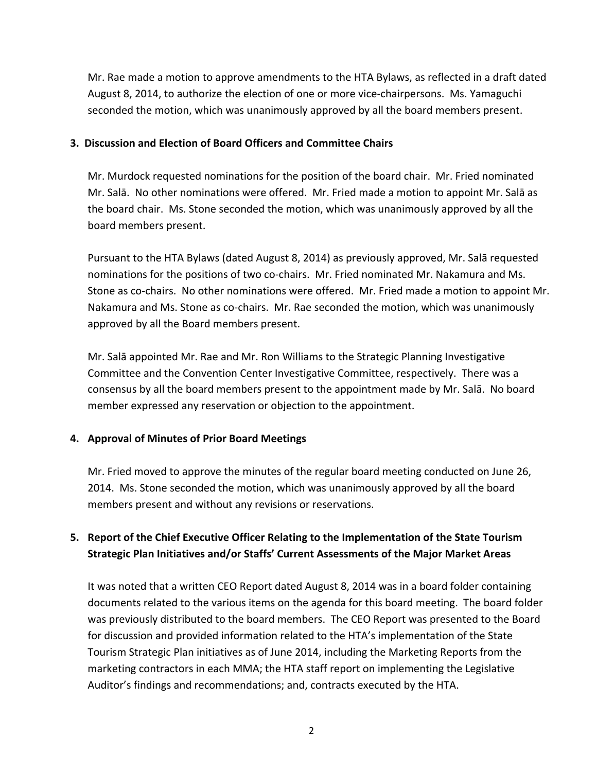Mr. Rae made a motion to approve amendments to the HTA Bylaws, as reflected in a draft dated August 8, 2014, to authorize the election of one or more vice‐chairpersons. Ms. Yamaguchi seconded the motion, which was unanimously approved by all the board members present.

#### **3. Discussion and Election of Board Officers and Committee Chairs**

Mr. Murdock requested nominations for the position of the board chair. Mr. Fried nominated Mr. Salā. No other nominations were offered. Mr. Fried made a motion to appoint Mr. Salā as the board chair. Ms. Stone seconded the motion, which was unanimously approved by all the board members present.

Pursuant to the HTA Bylaws (dated August 8, 2014) as previously approved, Mr. Salā requested nominations for the positions of two co‐chairs. Mr. Fried nominated Mr. Nakamura and Ms. Stone as co-chairs. No other nominations were offered. Mr. Fried made a motion to appoint Mr. Nakamura and Ms. Stone as co‐chairs. Mr. Rae seconded the motion, which was unanimously approved by all the Board members present.

Mr. Salā appointed Mr. Rae and Mr. Ron Williams to the Strategic Planning Investigative Committee and the Convention Center Investigative Committee, respectively. There was a consensus by all the board members present to the appointment made by Mr. Salā. No board member expressed any reservation or objection to the appointment.

### **4. Approval of Minutes of Prior Board Meetings**

Mr. Fried moved to approve the minutes of the regular board meeting conducted on June 26, 2014. Ms. Stone seconded the motion, which was unanimously approved by all the board members present and without any revisions or reservations.

# **5. Report of the Chief Executive Officer Relating to the Implementation of the State Tourism Strategic Plan Initiatives and/or Staffs' Current Assessments of the Major Market Areas**

It was noted that a written CEO Report dated August 8, 2014 was in a board folder containing documents related to the various items on the agenda for this board meeting. The board folder was previously distributed to the board members. The CEO Report was presented to the Board for discussion and provided information related to the HTA's implementation of the State Tourism Strategic Plan initiatives as of June 2014, including the Marketing Reports from the marketing contractors in each MMA; the HTA staff report on implementing the Legislative Auditor's findings and recommendations; and, contracts executed by the HTA.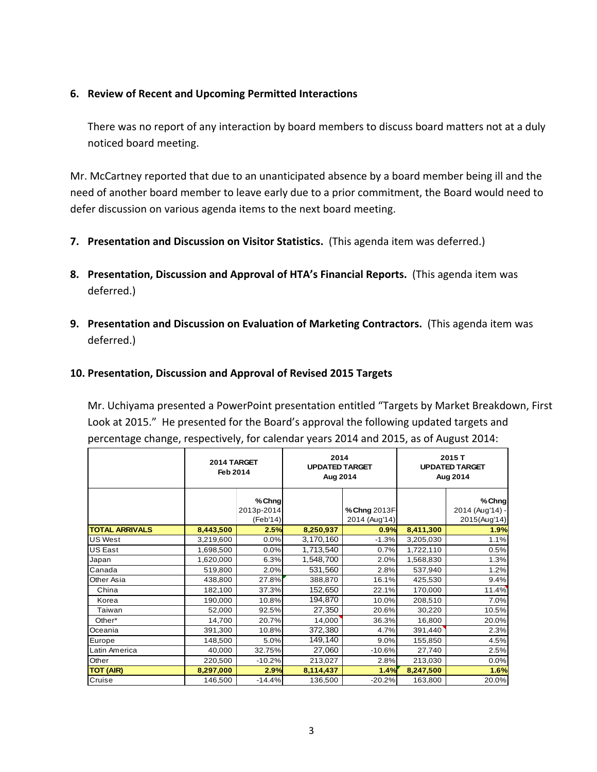### **6. Review of Recent and Upcoming Permitted Interactions**

There was no report of any interaction by board members to discuss board matters not at a duly noticed board meeting.

Mr. McCartney reported that due to an unanticipated absence by a board member being ill and the need of another board member to leave early due to a prior commitment, the Board would need to defer discussion on various agenda items to the next board meeting.

- **7. Presentation and Discussion on Visitor Statistics.** (This agenda item was deferred.)
- **8. Presentation, Discussion and Approval of HTA's Financial Reports.** (This agenda item was deferred.)
- **9. Presentation and Discussion on Evaluation of Marketing Contractors.** (This agenda item was deferred.)

#### **10. Presentation, Discussion and Approval of Revised 2015 Targets**

Mr. Uchiyama presented a PowerPoint presentation entitled "Targets by Market Breakdown, First Look at 2015." He presented for the Board's approval the following updated targets and percentage change, respectively, for calendar years 2014 and 2015, as of August 2014:

|                       | 2014 TARGET<br>Feb 2014 |                                 | 2014<br><b>UPDATED TARGET</b><br>Aug 2014 |                               | 2015 T<br><b>UPDATED TARGET</b><br>Aug 2014 |                                           |
|-----------------------|-------------------------|---------------------------------|-------------------------------------------|-------------------------------|---------------------------------------------|-------------------------------------------|
|                       |                         | %Chng<br>2013p-2014<br>(Feb'14) |                                           | % Chng 2013F<br>2014 (Aug'14) |                                             | % Chng<br>2014 (Aug'14) -<br>2015(Aug'14) |
| <b>TOTAL ARRIVALS</b> | 8,443,500               | 2.5%                            | 8,250,937                                 | 0.9%                          | 8,411,300                                   | 1.9%                                      |
| <b>US West</b>        | 3,219,600               | 0.0%                            | 3,170,160                                 | $-1.3%$                       | 3,205,030                                   | 1.1%                                      |
| <b>US East</b>        | 1,698,500               | 0.0%                            | 1,713,540                                 | 0.7%                          | 1,722,110                                   | 0.5%                                      |
| Japan                 | 1,620,000               | 6.3%                            | 1,548,700                                 | 2.0%                          | 1,568,830                                   | 1.3%                                      |
| Canada                | 519,800                 | 2.0%                            | 531,560                                   | 2.8%                          | 537,940                                     | 1.2%                                      |
| Other Asia            | 438,800                 | 27.8%                           | 388,870                                   | 16.1%                         | 425,530                                     | 9.4%                                      |
| China                 | 182,100                 | 37.3%                           | 152,650                                   | 22.1%                         | 170,000                                     | 11.4%                                     |
| Korea                 | 190,000                 | 10.8%                           | 194,870                                   | 10.0%                         | 208,510                                     | 7.0%                                      |
| Taiwan                | 52,000                  | 92.5%                           | 27,350                                    | 20.6%                         | 30,220                                      | 10.5%                                     |
| Other*                | 14,700                  | 20.7%                           | 14,000                                    | 36.3%                         | 16,800                                      | 20.0%                                     |
| Oceania               | 391,300                 | 10.8%                           | 372,380                                   | 4.7%                          | 391,440                                     | 2.3%                                      |
| Europe                | 148,500                 | 5.0%                            | 149,140                                   | 9.0%                          | 155,850                                     | 4.5%                                      |
| Latin America         | 40,000                  | 32.75%                          | 27,060                                    | $-10.6%$                      | 27,740                                      | 2.5%                                      |
| Other                 | 220,500                 | $-10.2%$                        | 213,027                                   | 2.8%                          | 213,030                                     | 0.0%                                      |
| <b>TOT (AIR)</b>      | 8,297,000               | 2.9%                            | 8,114,437                                 | 1.4%                          | 8,247,500                                   | 1.6%                                      |
| Cruise                | 146,500                 | $-14.4%$                        | 136,500                                   | $-20.2%$                      | 163,800                                     | 20.0%                                     |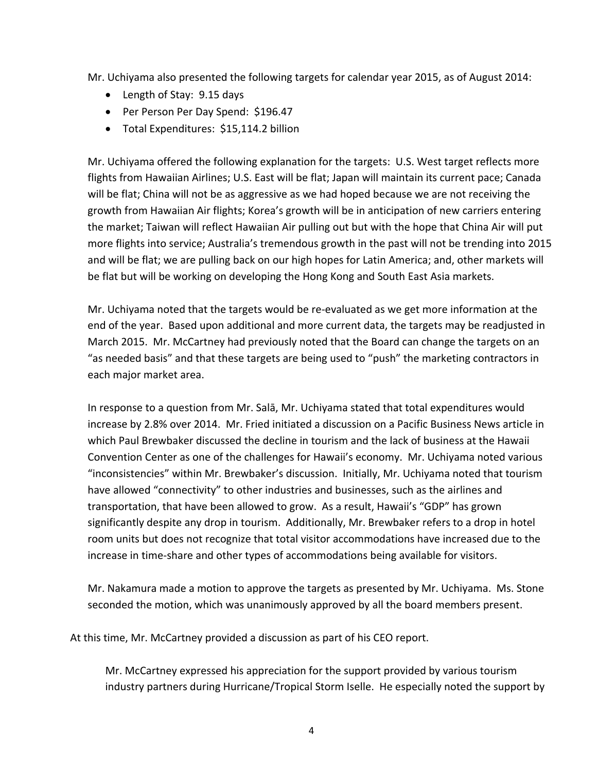Mr. Uchiyama also presented the following targets for calendar year 2015, as of August 2014:

- Length of Stay: 9.15 days
- Per Person Per Day Spend: \$196.47
- Total Expenditures: \$15,114.2 billion

Mr. Uchiyama offered the following explanation for the targets: U.S. West target reflects more flights from Hawaiian Airlines; U.S. East will be flat; Japan will maintain its current pace; Canada will be flat; China will not be as aggressive as we had hoped because we are not receiving the growth from Hawaiian Air flights; Korea's growth will be in anticipation of new carriers entering the market; Taiwan will reflect Hawaiian Air pulling out but with the hope that China Air will put more flights into service; Australia's tremendous growth in the past will not be trending into 2015 and will be flat; we are pulling back on our high hopes for Latin America; and, other markets will be flat but will be working on developing the Hong Kong and South East Asia markets.

Mr. Uchiyama noted that the targets would be re‐evaluated as we get more information at the end of the year. Based upon additional and more current data, the targets may be readjusted in March 2015. Mr. McCartney had previously noted that the Board can change the targets on an "as needed basis" and that these targets are being used to "push" the marketing contractors in each major market area.

In response to a question from Mr. Salā, Mr. Uchiyama stated that total expenditures would increase by 2.8% over 2014. Mr. Fried initiated a discussion on a Pacific Business News article in which Paul Brewbaker discussed the decline in tourism and the lack of business at the Hawaii Convention Center as one of the challenges for Hawaii's economy. Mr. Uchiyama noted various "inconsistencies" within Mr. Brewbaker's discussion. Initially, Mr. Uchiyama noted that tourism have allowed "connectivity" to other industries and businesses, such as the airlines and transportation, that have been allowed to grow. As a result, Hawaii's "GDP" has grown significantly despite any drop in tourism. Additionally, Mr. Brewbaker refers to a drop in hotel room units but does not recognize that total visitor accommodations have increased due to the increase in time‐share and other types of accommodations being available for visitors.

Mr. Nakamura made a motion to approve the targets as presented by Mr. Uchiyama. Ms. Stone seconded the motion, which was unanimously approved by all the board members present.

At this time, Mr. McCartney provided a discussion as part of his CEO report.

Mr. McCartney expressed his appreciation for the support provided by various tourism industry partners during Hurricane/Tropical Storm Iselle. He especially noted the support by